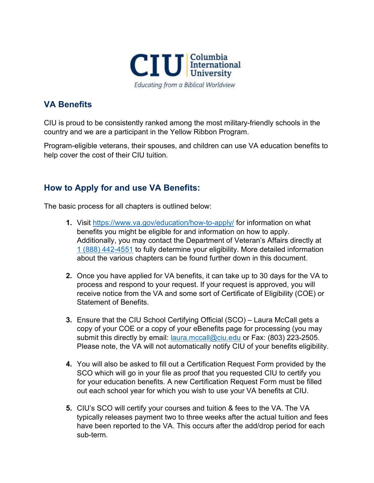

# VA Benefits

CIU is proud to be consistently ranked among the most military-friendly schools in the country and we are a participant in the Yellow Ribbon Program.

Program-eligible veterans, their spouses, and children can use VA education benefits to help cover the cost of their CIU tuition.

# How to Apply for and use VA Benefits:

The basic process for all chapters is outlined below:

- 1. Visit https://www.va.gov/education/how-to-apply/ for information on what benefits you might be eligible for and information on how to apply. Additionally, you may contact the Department of Veteran's Affairs directly at 1 (888) 442-4551 to fully determine your eligibility. More detailed information about the various chapters can be found further down in this document.
- 2. Once you have applied for VA benefits, it can take up to 30 days for the VA to process and respond to your request. If your request is approved, you will receive notice from the VA and some sort of Certificate of Eligibility (COE) or Statement of Benefits.
- 3. Ensure that the CIU School Certifying Official (SCO) Laura McCall gets a copy of your COE or a copy of your eBenefits page for processing (you may submit this directly by email: laura.mccall@ciu.edu or Fax: (803) 223-2505. Please note, the VA will not automatically notify CIU of your benefits eligibility.
- 4. You will also be asked to fill out a Certification Request Form provided by the SCO which will go in your file as proof that you requested CIU to certify you for your education benefits. A new Certification Request Form must be filled out each school year for which you wish to use your VA benefits at CIU.
- 5. CIU's SCO will certify your courses and tuition & fees to the VA. The VA typically releases payment two to three weeks after the actual tuition and fees have been reported to the VA. This occurs after the add/drop period for each sub-term.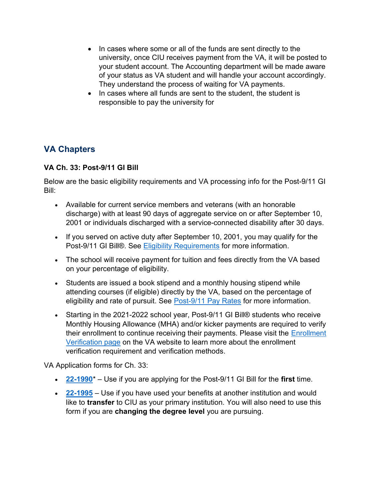- In cases where some or all of the funds are sent directly to the university, once CIU receives payment from the VA, it will be posted to your student account. The Accounting department will be made aware of your status as VA student and will handle your account accordingly. They understand the process of waiting for VA payments.
- In cases where all funds are sent to the student, the student is responsible to pay the university for

# VA Chapters

## VA Ch. 33: Post-9/11 GI Bill

Below are the basic eligibility requirements and VA processing info for the Post-9/11 GI Bill:

- Available for current service members and veterans (with an honorable discharge) with at least 90 days of aggregate service on or after September 10, 2001 or individuals discharged with a service-connected disability after 30 days.
- If you served on active duty after September 10, 2001, you may qualify for the Post-9/11 GI Bill®. See Eligibility Requirements for more information.
- The school will receive payment for tuition and fees directly from the VA based on your percentage of eligibility.
- Students are issued a book stipend and a monthly housing stipend while attending courses (if eligible) directly by the VA, based on the percentage of eligibility and rate of pursuit. See **Post-9/11 Pay Rates** for more information.
- Starting in the 2021-2022 school year, Post-9/11 GI Bill® students who receive Monthly Housing Allowance (MHA) and/or kicker payments are required to verify their enrollment to continue receiving their payments. Please visit the Enrollment Verification page on the VA website to learn more about the enrollment verification requirement and verification methods.

VA Application forms for Ch. 33:

- $\cdot$  22-1990<sup>\*</sup> Use if you are applying for the Post-9/11 GI Bill for the first time.
- 22-1995 Use if you have used your benefits at another institution and would like to transfer to CIU as your primary institution. You will also need to use this form if you are changing the degree level you are pursuing.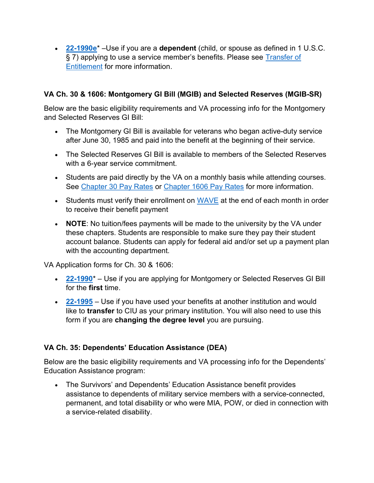$\cdot$  22-1990e<sup>\*</sup> – Use if you are a dependent (child, or spouse as defined in 1 U.S.C. § 7) applying to use a service member's benefits. Please see Transfer of Entitlement for more information.

## VA Ch. 30 & 1606: Montgomery GI Bill (MGIB) and Selected Reserves (MGIB-SR)

Below are the basic eligibility requirements and VA processing info for the Montgomery and Selected Reserves GI Bill:

- The Montgomery GI Bill is available for veterans who began active-duty service after June 30, 1985 and paid into the benefit at the beginning of their service.
- The Selected Reserves GI Bill is available to members of the Selected Reserves with a 6-year service commitment.
- Students are paid directly by the VA on a monthly basis while attending courses. See Chapter 30 Pay Rates or Chapter 1606 Pay Rates for more information.
- Students must verify their enrollment on  $\overline{WAVE}$  at the end of each month in order to receive their benefit payment
- NOTE: No tuition/fees payments will be made to the university by the VA under these chapters. Students are responsible to make sure they pay their student account balance. Students can apply for federal aid and/or set up a payment plan with the accounting department.

VA Application forms for Ch. 30 & 1606:

- 22-1990<sup>\*</sup> Use if you are applying for Montgomery or Selected Reserves GI Bill for the first time.
- 22-1995 Use if you have used your benefits at another institution and would like to transfer to CIU as your primary institution. You will also need to use this form if you are changing the degree level you are pursuing.

#### VA Ch. 35: Dependents' Education Assistance (DEA)

Below are the basic eligibility requirements and VA processing info for the Dependents' Education Assistance program:

 The Survivors' and Dependents' Education Assistance benefit provides assistance to dependents of military service members with a service-connected, permanent, and total disability or who were MIA, POW, or died in connection with a service-related disability.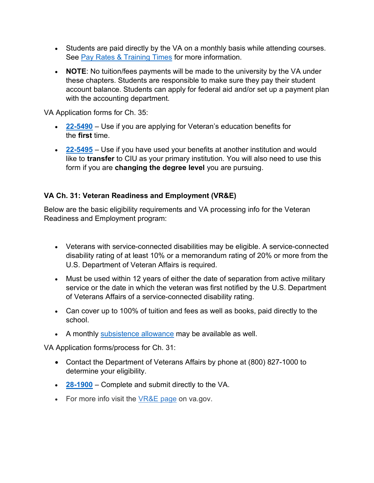- Students are paid directly by the VA on a monthly basis while attending courses. See Pay Rates & Training Times for more information.
- NOTE: No tuition/fees payments will be made to the university by the VA under these chapters. Students are responsible to make sure they pay their student account balance. Students can apply for federal aid and/or set up a payment plan with the accounting department.

VA Application forms for Ch. 35:

- 22-5490 Use if you are applying for Veteran's education benefits for the first time.
- $\cdot$  22-5495 Use if you have used your benefits at another institution and would like to **transfer** to CIU as your primary institution. You will also need to use this form if you are changing the degree level you are pursuing.

## VA Ch. 31: Veteran Readiness and Employment (VR&E)

Below are the basic eligibility requirements and VA processing info for the Veteran Readiness and Employment program:

- Veterans with service-connected disabilities may be eligible. A service-connected disability rating of at least 10% or a memorandum rating of 20% or more from the U.S. Department of Veteran Affairs is required.
- Must be used within 12 years of either the date of separation from active military service or the date in which the veteran was first notified by the U.S. Department of Veterans Affairs of a service-connected disability rating.
- Can cover up to 100% of tuition and fees as well as books, paid directly to the school.
- A monthly subsistence allowance may be available as well.

VA Application forms/process for Ch. 31:

- Contact the Department of Veterans Affairs by phone at (800) 827-1000 to determine your eligibility.
- $\cdot$  28-1900 Complete and submit directly to the VA.
- For more info visit the VR&E page on va.gov.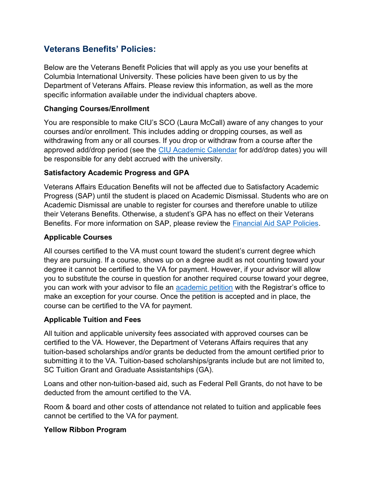# Veterans Benefits' Policies:

Below are the Veterans Benefit Policies that will apply as you use your benefits at Columbia International University. These policies have been given to us by the Department of Veterans Affairs. Please review this information, as well as the more specific information available under the individual chapters above.

#### Changing Courses/Enrollment

You are responsible to make CIU's SCO (Laura McCall) aware of any changes to your courses and/or enrollment. This includes adding or dropping courses, as well as withdrawing from any or all courses. If you drop or withdraw from a course after the approved add/drop period (see the CIU Academic Calendar for add/drop dates) you will be responsible for any debt accrued with the university.

#### Satisfactory Academic Progress and GPA

Veterans Affairs Education Benefits will not be affected due to Satisfactory Academic Progress (SAP) until the student is placed on Academic Dismissal. Students who are on Academic Dismissal are unable to register for courses and therefore unable to utilize their Veterans Benefits. Otherwise, a student's GPA has no effect on their Veterans Benefits. For more information on SAP, please review the Financial Aid SAP Policies.

#### Applicable Courses

All courses certified to the VA must count toward the student's current degree which they are pursuing. If a course, shows up on a degree audit as not counting toward your degree it cannot be certified to the VA for payment. However, if your advisor will allow you to substitute the course in question for another required course toward your degree, you can work with your advisor to file an academic petition with the Registrar's office to make an exception for your course. Once the petition is accepted and in place, the course can be certified to the VA for payment.

#### Applicable Tuition and Fees

All tuition and applicable university fees associated with approved courses can be certified to the VA. However, the Department of Veterans Affairs requires that any tuition-based scholarships and/or grants be deducted from the amount certified prior to submitting it to the VA. Tuition-based scholarships/grants include but are not limited to, SC Tuition Grant and Graduate Assistantships (GA).

Loans and other non-tuition-based aid, such as Federal Pell Grants, do not have to be deducted from the amount certified to the VA.

Room & board and other costs of attendance not related to tuition and applicable fees cannot be certified to the VA for payment.

#### Yellow Ribbon Program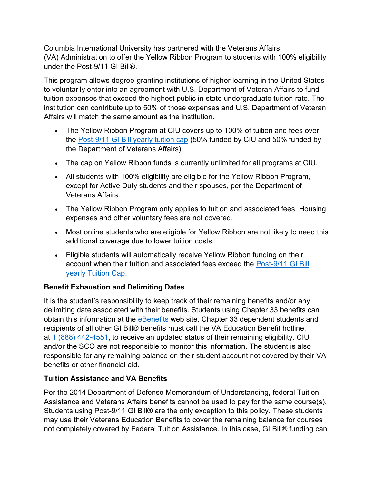Columbia International University has partnered with the Veterans Affairs (VA) Administration to offer the Yellow Ribbon Program to students with 100% eligibility under the Post-9/11 GI Bill®.

This program allows degree-granting institutions of higher learning in the United States to voluntarily enter into an agreement with U.S. Department of Veteran Affairs to fund tuition expenses that exceed the highest public in-state undergraduate tuition rate. The institution can contribute up to 50% of those expenses and U.S. Department of Veteran Affairs will match the same amount as the institution.

- The Yellow Ribbon Program at CIU covers up to 100% of tuition and fees over the Post-9/11 GI Bill yearly tuition cap (50% funded by CIU and 50% funded by the Department of Veterans Affairs).
- The cap on Yellow Ribbon funds is currently unlimited for all programs at CIU.
- All students with 100% eligibility are eligible for the Yellow Ribbon Program, except for Active Duty students and their spouses, per the Department of Veterans Affairs.
- The Yellow Ribbon Program only applies to tuition and associated fees. Housing expenses and other voluntary fees are not covered.
- Most online students who are eligible for Yellow Ribbon are not likely to need this additional coverage due to lower tuition costs.
- Eligible students will automatically receive Yellow Ribbon funding on their account when their tuition and associated fees exceed the Post-9/11 GI Bill yearly Tuition Cap.

# Benefit Exhaustion and Delimiting Dates

It is the student's responsibility to keep track of their remaining benefits and/or any delimiting date associated with their benefits. Students using Chapter 33 benefits can obtain this information at the eBenefits web site. Chapter 33 dependent students and recipients of all other GI Bill® benefits must call the VA Education Benefit hotline, at 1 (888) 442-4551, to receive an updated status of their remaining eligibility. CIU and/or the SCO are not responsible to monitor this information. The student is also responsible for any remaining balance on their student account not covered by their VA benefits or other financial aid.

#### Tuition Assistance and VA Benefits

Per the 2014 Department of Defense Memorandum of Understanding, federal Tuition Assistance and Veterans Affairs benefits cannot be used to pay for the same course(s). Students using Post-9/11 GI Bill® are the only exception to this policy. These students may use their Veterans Education Benefits to cover the remaining balance for courses not completely covered by Federal Tuition Assistance. In this case, GI Bill® funding can